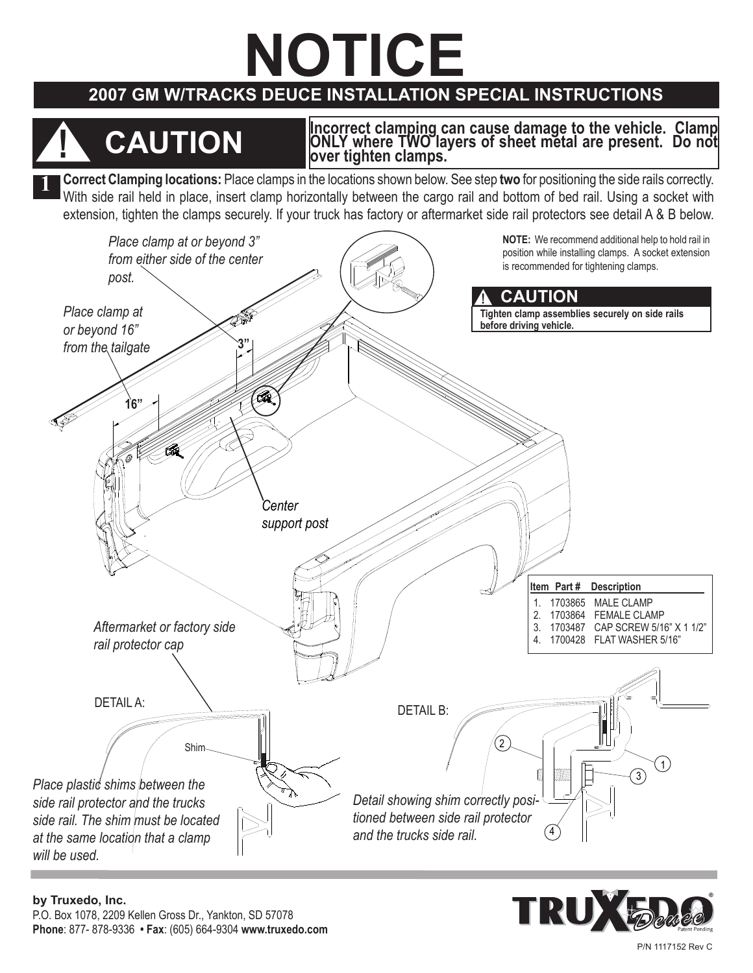# **NOTICE**

### **2007 GM W/tracks Deuce InstALLATION SPECIAL INSTRUCTIONS**

## **! CAUTION**

**Incorrect clamping can cause damage to the vehicle. Clamp ONLY where TWO layers of sheet metal are present. Do not over tighten clamps.**

**1 Correct Clamping locations:** Place clamps in the locations shown below. See step **two** for positioning the side rails correctly. With side rail held in place, insert clamp horizontally between the cargo rail and bottom of bed rail. Using a socket with extension, tighten the clamps securely. If your truck has factory or aftermarket side rail protectors see detail A & B below.





P/N 1117152 Rev C